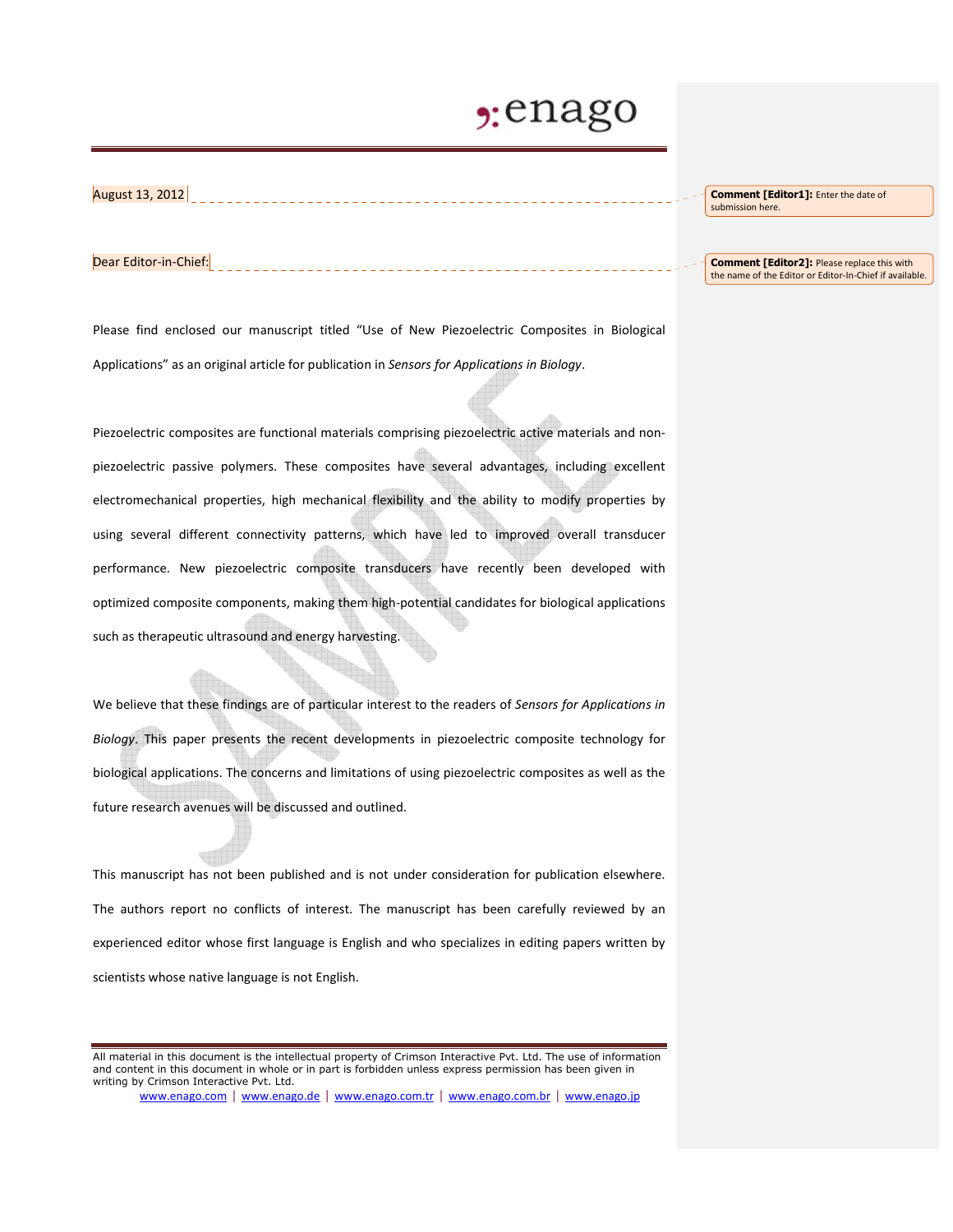## enago

August 13, 2012

**Comment [Editor1]:** Enter the date of submission here.

## Dear Editor-in-Chief:

Please find enclosed our manuscript titled "Use of New Piezoelectric Composites in Biological Applications" as an original article for publication in *Sensors for Applications in Biology*.

Piezoelectric composites are functional materials comprising piezoelectric active materials and nonpiezoelectric passive polymers. These composites have several advantages, including excellent electromechanical properties, high mechanical flexibility and the ability to modify properties by using several different connectivity patterns, which have led to improved overall transducer performance. New piezoelectric composite transducers have recently been developed with optimized composite components, making them high-potential candidates for biological applications such as therapeutic ultrasound and energy harvesting.

We believe that these findings are of particular interest to the readers of *Sensors for Applications in Biology*. This paper presents the recent developments in piezoelectric composite technology for biological applications. The concerns and limitations of using piezoelectric composites as well as the future research avenues will be discussed and outlined.

This manuscript has not been published and is not under consideration for publication elsewhere. The authors report no conflicts of interest. The manuscript has been carefully reviewed by an experienced editor whose first language is English and who specializes in editing papers written by scientists whose native language is not English.

www.enago.com | www.enago.de | www.enago.com.tr | www.enago.com.br | www.enago.jp

## **Comment [Editor2]:** Please replace this with the name of the Editor or Editor-In-Chief if available.

All material in this document is the intellectual property of Crimson Interactive Pvt. Ltd. The use of information and content in this document in whole or in part is forbidden unless express permission has been given in writing by Crimson Interactive Pvt. Ltd.